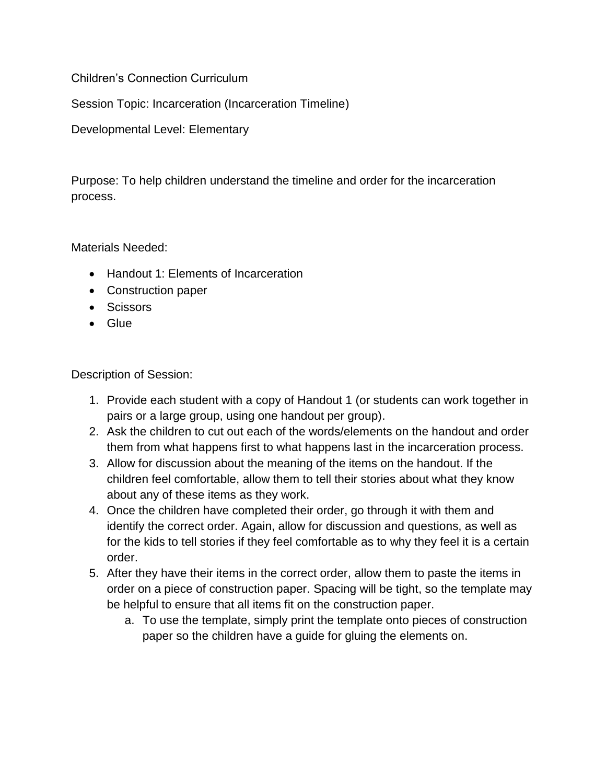Children's Connection Curriculum

Session Topic: Incarceration (Incarceration Timeline)

Developmental Level: Elementary

Purpose: To help children understand the timeline and order for the incarceration process.

Materials Needed:

- Handout 1: Elements of Incarceration
- Construction paper
- Scissors
- Glue

Description of Session:

- 1. Provide each student with a copy of Handout 1 (or students can work together in pairs or a large group, using one handout per group).
- 2. Ask the children to cut out each of the words/elements on the handout and order them from what happens first to what happens last in the incarceration process.
- 3. Allow for discussion about the meaning of the items on the handout. If the children feel comfortable, allow them to tell their stories about what they know about any of these items as they work.
- 4. Once the children have completed their order, go through it with them and identify the correct order. Again, allow for discussion and questions, as well as for the kids to tell stories if they feel comfortable as to why they feel it is a certain order.
- 5. After they have their items in the correct order, allow them to paste the items in order on a piece of construction paper. Spacing will be tight, so the template may be helpful to ensure that all items fit on the construction paper.
	- a. To use the template, simply print the template onto pieces of construction paper so the children have a guide for gluing the elements on.